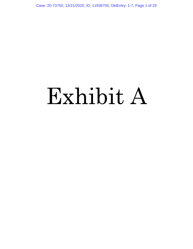Case: 20-73750, 12/21/2020, ID: 11936705, DktEntry: 1-7, Page 1 of 29

# Exhibit A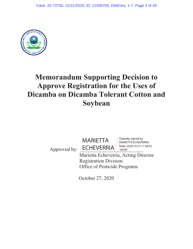

# **Memorandum Supporting Decision to Approve Registration for the Uses of Dicamba on Dicamba Tolerant Cotton and Soybean**

MARIETTA

Approved by:

Marietta Echeverria, Acting Director **ECHEVERRIA** Date: 2020.10.27 11:38:52 -04'00'

Digitally signed by MARIETTA ECHEVERRIA

Registration Division Office of Pesticide Programs

October 27, 2020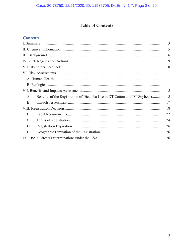## **Table of Contents**

## **Contents**

| Benefits of the Registration of Dicamba Use in DT Cotton and DT Soybeans 15<br>$A_{.}$ |
|----------------------------------------------------------------------------------------|
| <b>B.</b>                                                                              |
|                                                                                        |
| <b>B.</b>                                                                              |
| C.                                                                                     |
| D.                                                                                     |
| Ε.                                                                                     |
|                                                                                        |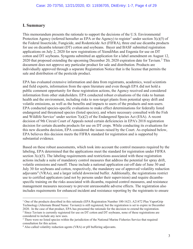#### **I. Summary**

This memorandum presents the rationale to support the decisions of the U.S. Environmental Protection Agency (referred hereafter as EPA or the Agency) to register<sup>1</sup> under section  $3(c)(5)$  of the Federal Insecticide, Fungicide, and Rodenticide Act (FIFRA), three end use dicamba products for use on dicamba tolerant (DT) cotton and soybeans. Bayer and BASF submitted registration applications on July 2, 2020 for new registrations of XtendiMax and Engenia for use on DT cotton and DT soybeans. Syngenta submitted an application for a label amendment on August 12, 2020 that proposed extending the upcoming December 20, 2020 expiration date for Tavium.<sup>2</sup> This document does not approve any particular product for sale and distribution. Products are individually approved through a separate Registration Notice that is the license that permits the sale and distribution of the pesticide product.

EPA has evaluated extensive information and data from registrants, academics, weed scientists and field experts, information from the open literature and even though EPA did not hold a public comment opportunity for these registration actions, the Agency received and considered information from other stakeholders. EPA conducted robust evaluations of the risks to human health and the environment, including risks to non-target plants from potential spray drift and volatile emissions, as well as the benefits and impacts to users of the products and non-users. EPA conducted species-specific evaluations to make effect determinations for federally listed endangered and threatened species (listed species), and where necessary consulted with the Fish and Wildlife Service<sup>3</sup> under section  $7(a)(2)$  of the Endangered Species Act (ESA). A recent decision of 9th Circuit Court of Appeals noted certain deficiencies in EPA's 2018 registration decision for certain dicamba products for use on DT crops. While conducting its evaluations for this new dicamba decision, EPA considered the issues raised by the Court. As explained below, EPA believes this decision meets the FIFRA standard for registration and is supported by substantial evidence.

Based on these robust assessments, which took into account the control measures required by the labeling, EPA determined that the applications meet the standard for registration under FIFRA section 3(c)(5). The labeling requirements and restrictions associated with these registration actions include a suite of mandatory control measures that address the potential for spray drift, volatile emissions and runoff. These include a national application cut-off date of June 30 and July 30 for soybeans and cotton, respectively, the mandatory use of approved volatility reduction adjuvants<sup>4</sup> (VRAs), and a larger infield downwind buffer. Additionally, the registrations restrict use to certified applicators (and not by persons under their supervision) and require dicambaspecific training on the risks associated with dicamba, required control measures, and resistance management measures necessary to prevent unreasonable adverse effects. The registration also includes requirements for enhanced incident and resistance reporting by the registrants to ensure

<sup>&</sup>lt;sup>1</sup> One of the products described in this rationale (EPA Registration Number 100-1623; A21472 Plus VaporGrip Technology (Alternate Brand Name: Tavium)) is still registered, but the registration is set to expire in December 2020. In the case of that product, EPA has presented the rationale for the decision to extend the registration. 2 <sup>2</sup> Since Tavium is currently registered for use on DT cotton and DT soybeans, none of these registrations are considered to include any new uses.

<sup>&</sup>lt;sup>3</sup> There were no listed species within the jurisdiction of the National Marine Fisheries Service that required consultation for this action.

<sup>&</sup>lt;sup>4</sup> Also called volatility reduction agents (VRA) or pH buffering adjuvants.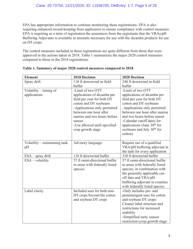EPA has appropriate information to continue monitoring these registrations. EPA is also requiring enhanced record-keeping from applicators to ensure compliance with control measures. EPA is requiring as a term of registration the assurances from the registrants that the VRAs/pH Buffering Adjuvants is available in amounts necessary for use with the dicamba products for use on DT crops.

The control measures included in these registrations are quite different from those that were approved in the actions taken in 2018. Table 1 summarizes the major 2020 control measures compared to those in the 2018 registrations.

| <b>Element</b>                | 2018 Decision                  | 2020 Decision                          |
|-------------------------------|--------------------------------|----------------------------------------|
| Spray drift                   | 110 ft downwind in-field       | 240 ft downwind in-field               |
|                               | buffer                         | buffer                                 |
| Volatility – timing of        | -Limit of two OTT              | -Limit of two OTT                      |
| applications                  | applications of dicamba per    | applications of dicamba per            |
|                               | field per year for both DT     | field per year for both DT             |
|                               | cotton and DT soybeans         | cotton and DT soybeans                 |
|                               | -Applications only permitted   | -Applications only permitted           |
|                               | between one hour after         | between one hour after sunrise         |
|                               | sunrise and two hours before   | and two hours before sunset            |
|                               | sunset                         | -Calendar cutoff dates for             |
|                               | -Use allowed until specified   | applications (June $30th$ for          |
|                               | crop growth stage              | soybeans and July 30 <sup>th</sup> for |
|                               |                                | cotton)                                |
| Volatility – maintaining tank | Advisory language              | Require use of a qualified             |
| pH                            |                                | VRA/pH buffering adjuvant in           |
|                               |                                | the tank for every application         |
| ESA - spray drift             | 110 ft downwind buffer         | 310 ft downwind buffer                 |
| $ESA - volatility$            | 57 ft omni-directional buffer  | 57 ft omni-directional buffer          |
|                               | in areas with federally listed | in areas with federally listed         |
|                               | species                        | species, in combination with           |
|                               |                                | the generally applicable cut-          |
|                               |                                | off date and VRA/pH                    |
|                               |                                | buffering adjuvant in counties         |
|                               |                                | with federally listed species          |
| Label clarity                 | Included uses for both non-    | -Only includes pre- and                |
|                               | DT crops beyond the cotton     | postemergent uses for cotton           |
|                               | and soybean DT crops           | and soybean DT crops-                  |
|                               |                                | Cleaner label structure and            |
|                               |                                | restrictions for increased             |
|                               |                                | usability                              |
|                               |                                | -Simplified early season               |
|                               |                                | restriction (crop growth stage         |

|  |  |  | Table 1. Summary of major 2020 control measures compared to 2018 |  |  |
|--|--|--|------------------------------------------------------------------|--|--|
|  |  |  |                                                                  |  |  |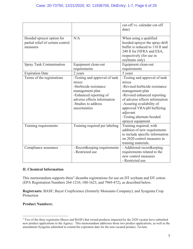|                                                                            |                                                                                                                                                                                     | cut-off vs. calendar cut-off<br>date)                                                                                                                                                                                                                                               |
|----------------------------------------------------------------------------|-------------------------------------------------------------------------------------------------------------------------------------------------------------------------------------|-------------------------------------------------------------------------------------------------------------------------------------------------------------------------------------------------------------------------------------------------------------------------------------|
| Hooded sprayer option for<br>partial relief of certain control<br>measures | N/A                                                                                                                                                                                 | When using a qualified<br>hooded-sprayer the spray-drift<br>buffer is reduced to 110 ft and<br>240 ft for FIFRA and ESA,<br>respectively (for use in<br>soybeans only)                                                                                                              |
| <b>Spray Tank Contamination</b>                                            | Equipment clean-out<br>requirements                                                                                                                                                 | Equipment clean-out<br>requirements                                                                                                                                                                                                                                                 |
| <b>Expiration Date</b>                                                     | 2 years                                                                                                                                                                             | 5 years                                                                                                                                                                                                                                                                             |
| Terms of the registrations                                                 | -Testing and approval of tank<br>mixes<br>-Herbicide resistance<br>management plan<br>-Enhanced reporting of<br>adverse effects information<br>-Studies to address<br>uncertainties | -Testing and approval of tank<br>mixes<br>-Revised herbicide resistance<br>management plan<br>-Revised enhanced reporting<br>of adverse effects information<br>-Assuring availability of<br>approved VRA/pH buffering<br>adjuvant<br>-Testing alternate hooded<br>sprayer equipment |
| Training requirements                                                      | Training required per labeling                                                                                                                                                      | Training required, with<br>addition of new requirements<br>to include specific information<br>on 2020 control measures in<br>training materials.                                                                                                                                    |
| Compliance assurance                                                       | - Recordkeeping requirements<br>- Restricted use                                                                                                                                    | - Additional recordkeeping<br>requirements related to the<br>new control measures<br>- Restricted use                                                                                                                                                                               |

#### **II. Chemical Information**

This memorandum supports three<sup>5</sup> dicamba registrations for use on DT soybean and DT cotton (EPA Registration Numbers 264-1210, 100-1623, and 7969-472), as described below.

**Registrants:** BASF; Bayer CropScience (formerly Monsanto Company); and Syngenta Crop Protection

#### **Product Numbers:**

<sup>&</sup>lt;sup>5</sup> Two of the three registrants (Bayer and BASF) that owned products impacted by the 2020 vacatur have submitted new product applications to the Agency. This memorandum addresses those two product applications, as well as the amendment Syngenta submitted to extend the expiration date for the non-vacated product, Tavium.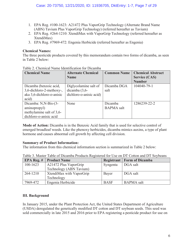- 1. EPA Reg. #100-1623: A21472 Plus VaporGrip Technology (Alternate Brand Name (ABN) Tavium Plus VaporGrip Technology) (referred hereafter as Tavium)
- 2. EPA Reg. #264-1210: XtendiMax with VaporGrip Technology (referred hereafter as XtendiMax)
- 3. EPA Reg. #7969-472: Engenia Herbicide (referred hereafter as Engenia)

#### **Chemical Names:**

The three pesticide products covered by this memorandum contain two forms of dicamba, as seen in Table 2 below:

| <b>Chemical Name</b>          | <b>Alternate Chemical</b> | <b>Common Name</b> | <b>Chemical Abstract</b> |
|-------------------------------|---------------------------|--------------------|--------------------------|
|                               | <b>Name</b>               |                    | <b>Service (CAS)</b>     |
|                               |                           |                    | <b>Number</b>            |
| Dicamba (benzoic acid,        | Diglycolamine salt of     | Dicamba DGA        | 104040-79-1              |
| 3,6-dichloro-2-methoxy-,      | dicamba $(3,6-$           | salt               |                          |
| aka 3,6-dichloro- $o$ -anisic | dichloro-o-anisic acid)   |                    |                          |
| acid)                         |                           |                    |                          |
| Dicamba: N,N-Bis-(3-          | None                      | Dicamba            | 1286239-22-2             |
| aminopropyl)                  |                           | <b>BAPMA</b> salt  |                          |
| methylamine salt of 3,6-      |                           |                    |                          |
| dichloro-o-anisic acid        |                           |                    |                          |

Table 2. Chemical Name Identification for Dicamba

**Mode of Action:** Dicamba is in the Benzoic Acid family that is used for selective control of emerged broadleaf weeds. Like the phenoxy herbicides, dicamba mimics auxins, a type of plant hormone and causes abnormal cell growth by affecting cell division.

#### **Summary of Product Information:**

The information from this chemical information section is summarized in Table 2 below:

| EPA Reg. $#$ | <b>Product Name</b>      |             | <b>Registrant   Form of Dicamba</b> |  |  |  |
|--------------|--------------------------|-------------|-------------------------------------|--|--|--|
| $100 - 1623$ | A21472 Plus VaporGrip    | Syngenta    | DGA salt                            |  |  |  |
|              | Technology (ABN Tavium)  |             |                                     |  |  |  |
| 264-1210     | XtendiMax with VaporGrip | Bayer       | DGA salt                            |  |  |  |
|              | Technology               |             |                                     |  |  |  |
| 7969-472     | Engenia Herbicide        | <b>BASF</b> | <b>BAPMA</b> salt                   |  |  |  |

Table 3. Master Table of Dicamba Products Registered for Use on DT Cotton and DT Soybeans

#### **III. Background**

In January 2015, under the Plant Protection Act, the United States Department of Agriculture (USDA) deregulated the genetically modified DT cotton and DT soybean seeds. This seed was sold commercially in late 2015 and 2016 prior to EPA registering a pesticide product for use on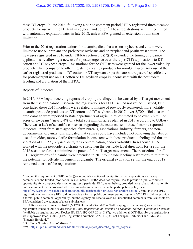these DT crops. In late 2016, following a public comment period,<sup>6</sup> EPA registered three dicamba products for use with the DT trait in soybean and cotton<sup>7</sup>. These registrations were time-limited with automatic expiration dates in late 2018, unless EPA granted an extension of this time limitation.

Prior to the 2016 registration actions for dicamba, dicamba uses on soybeans and cotton were limited to use on preplant and preharvest soybeans and on preplant and postharvest cotton. The new uses registered in 2016 under FIFRA section 3(c)(7)(B) expanded the timing of dicamba applications by allowing a new use for postemergence over-the-top (OTT) applications to DT cotton and DT soybean crops. Registrations for the OTT uses were granted for the lower volatility products when compared to other registered dicamba products for non-OTT uses. Any use of the earlier registered products on DT cotton or DT soybean crops that are not registered specifically for postemergent use on DT cotton or DT soybean crops is inconsistent with the pesticide's labeling and a violation of the FIFRA.

#### Reports of Incidents

In 2016, EPA began receiving reports of crop injury alleged to be caused by off-target movement from the use of dicamba. Because the registrations for OTT use had not yet been issued, EPA concluded these 2016 incidents were related to misuse of previously registered, more volatile dicamba pesticide products on DT cotton and DT soybeans. In 2017, over 2,700 official cases of crop damage were reported to state departments of agriculture, estimated to be over 3.6 million acres of soybeans<sup>8</sup> (nearly 4% of a total 90.2 million acres planted in 2017 according to USDA). There was a lack of scientific consensus regarding the exact cause of these dicamba reported incidents. Input from state agencies, farm bureaus, associations, industry, farmers, and nongovernmental organizations indicated that causes could have included not following the label or use of an older, more volatile formulation inconsistent with those products' labeling and thus in violation of FIFRA, physical drift, tank contamination, and/or volatility. In response, EPA worked with the pesticide registrants to strengthen the pesticide label directions for use for the 2018 season to further minimize the potential for off-target movement. The restrictions for all OTT registrations of dicamba were amended in 2017 to include labeling restrictions to minimize the potential for off-site movement of dicamba. The original expiration set for the end of 2018 remained a term of the registrations.

 $6$  Beyond the requirement of FIFRA  $3(c)(4)$  to publish a notice of receipt for certain applications and accept comments on the limited information in such notice, FIFRA does not require EPA to provide a public comment opportunity for a proposed decision to register a pesticide. EPA, nevertheless, provided more robust information for public comment on its proposed 2016 dicamba decision under its public participation policy (see:

https://www.epa.gov/pesticide-registration/public-participation-process-registration-actions). Similar to the 2018 registration actions where EPA did not provide a formal public comment period, again in 2020 EPA did not provide a formal public comment opportunity, but the Agency did receive over 120 unsolicited comments from stakeholders. EPA considered the content of these submissions.

<sup>7</sup> EPA Registration Number 524-617 (M1768 Herbicide/XtendiMax With Vaporgrip Technology) was the first registration issued in 2016 as described in *Final Registration of Dicamba on Dicamba-Tolerant Cotton and Soybean* (available on regulations.gov, Docket ID: EPA-HQ-OPP-2016-0187); two additional OTT dicamba use registrations were approved later in 2016 (EPA Registration Numbers 352-913 (DuPont Fexapan Herbicide) and 7969-345 (Engenia Herbicide)).

<sup>8</sup> *Dr. Kevin Bradley Univ. of Missouri,* 

*IPM,* https://ipm.missouri.edu/IPCM/2017/10/final\_report\_dicamba\_injured\_soybean/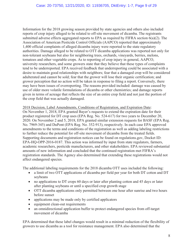Information for the 2018 growing season provided by state agencies and others also included reports of crop injury alleged to be related to off-site movement of dicamba. The registrants submitted adverse effects aggregated reports to EPA as required by FIFRA section 6(a)(2). The Association of American Pesticide Control Officials (AAPCO) reported that approximately 1,400 official complaints of alleged dicamba injury were reported to the state regulatory authorities. Damage alleged to be related to OTT dicamba applications was reported not only for non-tolerant soybeans but also for neighboring trees, orchards, vineyards, berries, melons, tomatoes and other vegetable crops. As to reporting of crop injury in general, AAPCO, university researchers, and some growers state that they believe that these types of complaints tend to be underreported. EPA received feedback that underreporting could be associated with a desire to maintain good relationships with neighbors; fear that a damaged crop will be considered adulterated and cannot be sold; fear that the grower will lose their organic certification; and grower perception that no action will be taken in response to filing a report. Conversely, there may have been issues of overreporting. The reasons provided included: damage was caused by use of older more volatile formulations of dicamba or other chemistries; and damage reports given in terms of acreage that reflects the size of an entire crop field and not just the portion of the crop field that was actually damaged.

2018 Decision, Label Amendments, Conditions of Registration, and Expiration Date:

On November 1, 2018, EPA granted Bayer's requests to extend the expiration date for their product registered for DT crop uses (EPA Reg. No. 524-617) for two years to December 20, 2020. On November 2 and 5, 2018, EPA granted similar extension requests for BASF (EPA Reg. No. 7969-345) and DuPont (EPA Reg. No. 352-913), respectively. In each case EPA approved amendments to the terms and conditions of the registration as well as adding labeling restrictions to further reduce the potential for off-site movement of dicamba from the treated fields. Supporting documents and registration notices can be found on regulations.gov, Docket ID: EPA-HQ-OPP-2016-0187. This action was informed by input from state regulators, farmers, academic researchers, pesticide manufacturers, and other stakeholders. EPA reviewed substantial amounts of new information and concluded that the continued registration met FIFRA's registration standards. The Agency also determined that extending these registrations would not affect endangered species.

The additional labeling requirements for the 2018 dicamba OTT uses included the following:

- a limit of two OTT applications of dicamba per field per year for both DT cotton and DT soybeans
- no applications to DT crops 60 days or later after planting cotton and 45 days or later after planting soybeans or until a specified crop growth stage
- OTT dicamba applications only permitted between one hour after sunrise and two hours before sunset
- $\bullet$  applications may be made only by certified applicators
- equipment clean-out requirements
- an omnidirectional application buffer to protect endangered species from off-target movement of dicamba

EPA determined that these label changes would result in a minimal reduction of the flexibility of growers to use dicamba as a tool for resistance management. EPA also determined that the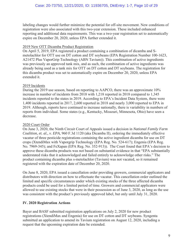labeling changes would further minimize the potential for off-site movement. New conditions of registration were also associated with this two-year extension. These included enhanced reporting and additional data requirements. This was a two-year registration set to automatically expire on December 20, 2020, unless EPA further extended it.

#### 2019 New OTT Dicamba Product Registration

On April 5, 2019, EPA registered a product containing a combination of dicamba and Smetolachlor for OTT use on DT cotton and DT soybeans (EPA Registration Number 100-1623, A21472 Plus VaporGrip Technology (ABN Tavium)). This combination of active ingredients was previously an approved tank mix, and as such, the combination of active ingredients was already being used as a tank mix for OTT on DT cotton and DT soybeans. The registration for this dicamba product was set to automatically expire on December 20, 2020, unless EPA extended it.

#### 2019 Incidents

During the 2019 use season, based on reporting to AAPCO, there was an approximate 10% increase in number of incidents from 2018 with 1,218 reported in 2018 compared to 1,345 incidents reported to the states in 2019. According to EPA's Incident Data System, there were 1,400 incidents reported in 2017, 2,600 reported in 2018 and nearly 3,000 reported to EPA in 2019. Although, reports have continued to increase nationally, there is variability in numbers of reports from individual. Some states (e.g., Kentucky, Missouri, Minnesota, Ohio) have seen a decrease.

#### 2020 Court Order

On June 3, 2020, the Ninth Circuit Court of Appeals issued a decision in *National Family Farm Coalition, et. al., v. EPA*, 960 F.3d 1120 (aka Dicamba II), ordering the immediately effective vacatur of three pesticide registrations containing the active ingredient dicamba for use on DT crops (XtendiMax with Vaporgrip Technology (EPA Reg. No. 524-617); Engenia (EPA Reg. No. 7969-345); and FeXapan (EPA Reg. No. 352-913)). The Court found that EPA's decision to approve these dicamba products was not based on substantial evidence in that "EPA substantially understated risks that it acknowledged and failed entirely to acknowledge other risks." The product containing dicamba plus s-metolachlor (Tavium) was not vacated, so it remained registered with the expiration date of December 20, 2020.

On June 8, 2020, EPA issued a cancellation order providing growers, commercial applicators and distributors with direction on how to effectuate the vacatur. This cancellation order outlined the limited and specific circumstances under which existing stocks of the three affected dicamba products could be used for a limited period of time. Growers and commercial applicators were allowed to use existing stocks that were in their possession as of June 3, 2020, as long as the use was consistent with the product's previously approved label, but only until July 31, 2020.

#### **IV. 2020 Registration Actions**

Bayer and BASF submitted registration applications on July 2, 2020 for new product registrations (XtendiMax and Engenia) for use on DT cotton and DT soybeans. Syngenta submitted an application to amend its Tavium registration on August 12, 2020, including a request that the upcoming expiration date be extended.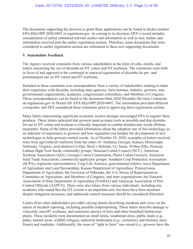The documents supporting the decision to grant these applications can be found in docket number EPA-HQ-OPP-2020-0492 at regulations.gov. In coming to its decision, EPA's record includes consideration of earlier submitted relevant studies and information as well as new studies and information received post the earlier registration actions. Therefore, some documents that were considered in earlier registration actions are referenced in these new supporting documents.

#### **V. Stakeholder Feedback**

The Agency received comments from various stakeholders in the form of calls, emails, and letters concerning the use of dicamba on DT cotton and DT soybeans. The comments were both in favor of and opposed to the continued or renewed registration of dicamba for pre- and postemergent use on DT cotton and DT soybeans.

Included in these comments was correspondence from a variety of stakeholders seeking to share their experience with dicamba, including state agencies, farm bureaus, industry, growers, nongovernmental organizations, academia, congressional committees, and Members of Congress. These correspondences can be found in the document titled *2020 Dicamba Decision Comments* on regulations.gov in Docket ID: EPA-HQ-OPP-2020-0492. The information provided different viewpoints, and EPA considered these comments prior to approving these registration actions.

Many letters representing significant economic sectors strongly encouraged EPA to register these products. These letters indicated that growers need as many tools as possible and that dicamba for use in DT cotton and soybean is critically important to combat troublesome weeds (Palmer amaranth). Some of the letters provided information about the adoption rate of this technology as an indicator of importance to growers and how regulation can hamper the development of new technologies to help growers control weeds. As of October 19, 2020, examples of letters received were from *agricultural coalitions* from the states of: Alabama, Georgia, Kansas, Mississippi, Nebraska, Virginia; *seed dealers/Co-Ops*: Beck's Hybrids, LG Seeds, Wilbur-Ellis, Proseed, Latham High-Tech Seeds; c*ommodity groups*: National Cotton Council (NCC), American Soybean Association (ASA), Georgia Cotton Commission, Plains Cotton Growers, American Seed Trade Association; *commercial applicator groups:* Southern Crop Protection Association (SCPA); *registrant representatives:* Crop Life America; *governmental entities*: Iowa Department of Agriculture and Land Stewardship, Kansas Department of Agriculture, Pennsylvania Department of Agriculture, the Governor of Nebraska, the U.S. House of Representatives Committee on Agriculture, and Members of Congress; and *state organizations*: the National Association of State Department of Agriculture (NASDA) and American Association of Pest Control Officials (AAPCO). There were also letters from various individuals, including one academic who stated that the DT system is an important tool, but there have been incidents despite mitigation measures, and additional control measures should be considered (Hartzler).

Letters from other stakeholders provided varying details describing incidents and views on the nature of incident reporting, including possible underreporting. These letters describe damage to vineyards, non-DT soybeans, and numerous species of trees and other broadleaf herbaceous plants. These incidents were documented on small farms, residential areas, public lands (*e.g.*, parks, natural areas, wildlife refuges), industrial landscapes (*e.g.*, cemeteries and business store fronts) and roadsides. Additionally, the issue of "right to farm" was raised (*i.e.*, growers have the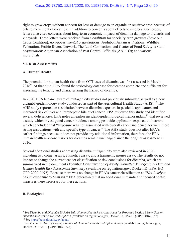right to grow crops without concern for loss or damage to an organic or sensitive crop because of offsite movement of dicamba). In addition to concerns about effects to single-season crops, letters also cited concerns about long-term economic impacts of dicamba damage to orchards and vineyards. These letters were received from a *coalition* for specialty crop growers (Save our Crops Coalition); *non-governmental organizations*: Audubon Arkansas, National Wildlife Federation, Prairie Rivers Network, The Land Connection, and Center of Food Safety; a *state organization*: American Association of Pest Control Officials (AAPCO); and various individuals.

#### **VI. Risk Assessments**

#### **A. Human Health**

The potential for human health risks from OTT uses of dicamba was first assessed in March  $2016<sup>9</sup>$ . At that time, EPA found the toxicology database for dicamba complete and sufficient for assessing the toxicity and characterizing the hazard of dicamba.

In 2020, EPA became aware of mutagenicity studies not previously submitted as well as a new dicamba epidemiology study conducted as part of the Agricultural Health Study (AHS).<sup>10</sup> The AHS study reported an association between dicamba exposure in pesticide applicators and increased risk of liver and intrahepatic bile duct cancer. EPA reviewed this study and identified several deficiencies. EPA notes an earlier incident/epidemiological memorandum<sup>11</sup> that reviewed a study which investigated cancer incidence among pesticide applicators exposed to dicamba which concluded that "Exposure was not associated with overall cancer incidence nor were there strong associations with any specific type of cancer." The AHS study does not alter EPA's earlier findings because it does not provide any additional information, therefore, the EPA human health risk conclusions for dicamba remain unchanged since the original assessment in 2016.

Several additional studies addressing dicamba mutagenicity were also reviewed in 2020, including two comet assays, a kinetics assay, and a transgenic mouse assay. The results do not impact or change the current cancer classification or risk conclusions for dicamba, which are summarized in the document *Dicamba: Consideration of Newly Submitted Mutagenicity Data and Human Health Risk Assessment Summary* (available on regulations.gov, Docket ID: EPA-HQ-OPP-2020-0492). Because there was no change in EPA's cancer classification as "*Not Likely to be Carcinogenic to Humans*," EPA determined that no additional human-health focused control measures were necessary for these actions.

#### **B. Ecological**

<sup>9</sup> See *Dicamba and Dicamba BAPMA Salt: Human Health Risk Assessment for Proposed Section 3 New Uses on Dicamba-tolerant Cotton and Soybean* (available on regulations.gov, Docket ID: EPA-HQ-OPP-2016-0187)

<sup>&</sup>lt;sup>11</sup> See Dicamba: Tier I (Scoping) Review of Human Incidents and Epidemiology (available on regulations.gov, Docket ID: EPA-HQ-OPP-2016-0223)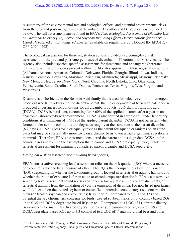A summary of the environmental fate and ecological effects, and potential environmental risks from the pre- and postemergent uses of dicamba on DT cotton and DT soybeans is provided below. The full assessment can be found in EPA's *2020 Ecological Assessment of Dicamba Use on Dicamba-Tolerant (DT) Cotton and Soybean Including Effects Determinations for Federally Listed Threatened and Endangered Species* (available on regulations.gov, Docket ID: EPA-HQ-OPP-2020-0492).

The ecological assessment for these registration actions included a screening-level risk assessment for the pre- and post-emergent uses of dicamba on DT cotton and DT soybeans. The Agency also included species-specific assessments for threatened and endangered (hereafter referred to as "listed") species present within the 34 states approved in these registration actions (Alabama, Arizona, Arkansas, Colorado, Delaware, Florida, Georgia, Illinois, Iowa, Indiana, Kansas, Kentucky, Louisiana, Maryland, Michigan, Minnesota, Mississippi, Missouri, Nebraska, New Mexico, New Jersey, New York, North Carolina, North Dakota, Ohio, Oklahoma, Pennsylvania, South Carolina, South Dakota, Tennessee, Texas, Virginia, West Virginia and Wisconsin).

Dicamba is an herbicide in the Benzoic Acid family that is used for selective control of emerged broadleaf weeds. In addition to the dicamba parent, the major degradate of toxicological concern produced under anaerobic conditions for all dicamba products is 3,6-dichlorosalicylic acid (DCSA). DCSA is persistent, accounting for  $> 60\%$  of the applied dicamba after a year in an anaerobic laboratory-based environment. DCSA is also formed in aerobic soil under laboratory conditions at a maximum of 17.4% of the applied parent dicamba. DCSA is not persistent when formed under aerobic conditions and degrades roughly at the same rate as the parent dicamba (8.2 days). DCSA is less toxic or equally toxic as the parent for aquatic organisms on an acute basis but may be substantially more toxic on a chronic basis to terrestrial organisms, specifically mammals. Therefore, EPA's assessment considered the parent and its degradate DCSA in the aquatic assessment (with the assumption that dicamba and DCSA are equally toxic), while the terrestrial assessment for mammals considered parent dicamba and DCSA separately.

#### *Ecological Risk Assessment (not including listed species):*

EPA's conservative screening level assessment relies on the risk quotient (RQ) where a measure of exposure is divided by a measure of effect. The RQ is then compare to a Level of Concern (LOC) depending on whether the taxonomic group is located in terrestrial or aquatic habitats and whether the route of exposure is for an acute or chronic exposure duration<sup>12</sup>. EPA's conservative screening level assessment found no risks of concern for: aquatic animals or aquatic plants, or terrestrial animals from the inhalation of volatile emissions of dicamba. For non-listed non-target wildlife located on the treated soybean or cotton field, potential acute dietary risk concerns for birds (on treated soybean and cotton fields; RQs up to 2.1 compared to a LOC of 0.5) and potential dietary chronic risk concerns for birds (treated soybean fields only; dicamba based RQs up to 0.35 and DCSA degradate-based RQs up to 1.7 compared to a LOC of 1), chronic dietary risk concerns for mammals (treated soybean fields only; dicamba-based RQs up to 0.79 and DCSA degradate-based RQs up to 3.3 compared to a LOC of 1) and individual bees and other

<sup>&</sup>lt;sup>12</sup> EPA's Overview of the Ecological Risk Assessment Process in the Office of Pesticide Programs, U.S. Environmental Protection Agency: Endangered and Threatened Species Effects Determinations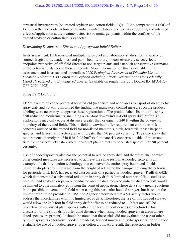terrestrial invertebrates (on treated soybean and cotton fields; RQs 1.3-2.4 compared to a LOC of 1). Given the herbicidal action of dicamba, available laboratory toxicity endpoints, and intended effect of application at the treatment site, risk to nontarget plants within the confines of the treated soybean or cotton field is expected.

#### *Determining Distances to Effects and Appropriate Infield Buffers*

In its assessment, EPA reviewed multiple field-level and laboratory studies from a variety of sources (registrants, academics, and published literature) to conservatively select effects endpoints protective of off-field effects to non-target plants and establish conservative estimates of the potential distances to these endpoints. More information on this is available in the assessment and its associated appendices *2020 Ecological Assessment of Dicamba Use on Dicamba-Tolerant (DT) Cotton and Soybean Including Effects Determinations for Federally Listed Threatened and Endangered Species* (available on regulations.gov, Docket ID: EPA-HQ-OPP-2020-0492).

#### *Spray Drift Evaluation*

EPA's evaluation of the potential for off-field (near field and wide area) transport of dicamba by spray drift and volatility informed the finding that mandatory control measures on the product labeling were necessary to approve these registrations. The product labels list multiple spray drift reduction requirements, including a 240-foot downwind in-field spray drift buffer (i.e., applications may only occur at distance greater than or equal to 240 ft within the downwind boundary of the treated field). This in-field downwind buffer requirement eliminates risk concerns outside of the treated field for non-listed mammals, birds, terrestrial phase herpetic species, and terrestrial invertebrates with greater than 90 percent certainty. The same spray drift requirements (namely the 240 ft in-field buffer) eliminate risk concerns outside of the treated field for conservatively established non-target plant effects to non-listed species with 90 percent certainty.

Use of hooded sprayers also has the potential to reduce spray drift and therefore change what other control measures are necessary to achieve the same results. A hooded sprayer is an example of a drift reduction technology that can cover the entire spray boom and shields pesticide droplets from the wind from the height of release to the canopy reducing the potential for pesticide drift. EPA has received data on tests of a particular hooded sprayer (RedBall 642E) which demonstrated a substantial reduction in spray drift. A limited number of field studies on bare soil and soybean crops were conducted and the data received indicate dicamba drift would be limited to approximately 20 ft from the point of application. These data show great reductions in the possible movement off-field when using this particular hooded sprayer, but based on the limited information provided to EPA, the Agency determined that a 5X safety factor would address the uncertainties with this limited set of data. Therefore, the use of this hooded sprayer would allow the 240-foot in-field spray drift buffer to be reduced to 110 feet and still be protective of non-listed plant species with a high level of confidence (see section IX for discussion of the spray drift buffer zone distance when using hooded sprayers in areas where listed species are present). It should be noted that these trials did not evaluate the use of other types of sprayers (alternative hooded broadcast, hooded in-row and layby sprayers) nor did they evaluate the use of a hooded sprayer over cotton crops. As a result, the reductions in buffer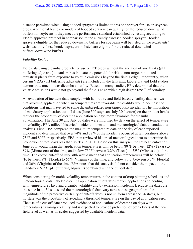distance permitted when using hooded sprayers is limited to this one sprayer for use on soybean crops. Additional brands or models of hooded sprayers can qualify for the reduced downwind buffers for soybeans if they meet the performance standard established by testing according to EPA's approved protocol in comparison to the currently assessed hooded sprayer. Hooded sprayers eligible for the reduced downwind buffers for soybeans will be listed on the registrants' websites; only those hooded sprayers so listed are eligible for the reduced downwind buffers. downwind buffers.

#### *Volatility Evaluation*

Field data using dicamba products for use on DT crops without the addition of any VRAs (pH buffering adjuvants) to tank mixes indicate the potential for risk to non-target non-listed terrestrial plants from exposure to volatile emissions beyond the field's edge. Importantly, when certain VRAs (pH buffering adjuvants) are included in the tank mix, laboratory and field studies demonstrate much lower dicamba volatility. Based on many studies, EPA determined that the volatile emissions would not go beyond the field's edge with a high degree (89%) of certainty.

An evaluation of incident data, coupled with laboratory and field-based volatility data, shows that avoiding application when air temperatures are favorable to volatility would decrease the conditions that may have led to some dicamba-related non-target plant incidents. The imposition of mandatory application cut-off dates (June  $30<sup>th</sup>$  soybean, July  $30<sup>th</sup>$  cotton) on the product labels reduces the probability of dicamba application on days more favorable for dicamba volatilization. The June 30 and July 30 dates were informed by data on the effect of temperature on volatility. EPA utilized historical incident information and meteorological data to conduct its analysis. First, EPA compared the maximum temperature data on the day of each reported incident and determined that over 94% and 82% of the incidents occurred at temperatures above 75 oF and 80 oF, respectively. EPA then reviewed historical meteorological data to determine the proportion of total days less than  $75^{\circ}$ F and  $80^{\circ}$ F. Based on this analysis, the soybean cut-off of June 30th would mean that application temperatures will be below 80  $\degree$ F between 12% (Texas) to 89% (Minnesota) of the time, and below 75 °F between 3.2% (Texas) to 72% (Minnesota) of the time. The cotton cut-off of July 30th would mean that application temperatures will be below 80 <sup>o</sup>F, between 8% (Florida) to 66% (Virginia) of the time, and below 75 °F between 0.3% (Florida) and 36% (Virginia) of the time. EPA notes that this analysis did not consider the impact of the mandatory VRA (pH buffering adjuvant) combined with the cut-off date.

When considering favorable volatility temperatures in the context of crop planting schedules and meteorological data, labeled dicamba application cutoff dates reduce applications coinciding with temperatures favoring dicamba volatility and by extension incidents. Because the dates are the same in all 34 states and the meteorological data vary across these geographies, the magnitude of the protective certainty of cut-off dates is not uniform across the 34 states, but in no state was the probability of avoiding a threshold temperature on the day of application zero. The use of a cut-off date produced avoidance of applications of dicamba on days with temperatures favoring volatility and is expected to provide protection of both effects at the near field level as well as on scales suggested by available incident data.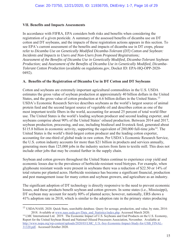#### **VII. Benefits and Impacts Assessments**

In accordance with FIFRA, EPA considers both risks and benefits when considering the registration of a given pesticide. A summary of the assessed benefits of dicamba use on DT cotton and DT soybeans, and the impacts of these registration actions appears in this section. To see EPA's current assessment of the benefits and impacts of dicamba use in DT crops, please refer to *Dicamba Use on Genetically Modified Dicamba-Tolerant (DT) Cotton and Soybean: Incidents and Impacts to Users and Non-Users from Proposed Registrations; Assessment of the Benefits of Dicamba Use in Genetically Modified, Dicamba-Tolerant Soybean Production;* and *Assessment of the Benefits of Dicamba Use in Genetically Modified, Dicamba-Tolerant Cotton Production* (available on regulations.gov, Docket ID: EPA-HQ-OPP-2020- 0492).

#### **A. Benefits of the Registration of Dicamba Use in DT Cotton and DT Soybeans**

Cotton and soybeans are extremely important agricultural commodities in the U.S. USDA estimates the gross value of soybean production at approximately 40 billion dollars in the United States, and the gross value of cotton production at 6.6 billion dollars in the United States.<sup>13</sup> USDA's Economic Research Service describes soybeans as the world's largest source of animal protein feed and the second largest source of vegetable oil and describes cotton as one of the most important textile fibers in the world, accounting for around 25 percent of total world fiber use. The United States is the world's leading soybean producer and second leading exporter, and soybeans comprise about 90% of the United States' oilseed production. Between 2014 and 2017, soybean production, processing, and use, including biodiesel and livestock feed, generated about \$115.8 billion in economic activity, supporting the equivalent of  $280,000$  full-time jobs<sup>14</sup>. The United States is the world's third-largest cotton producer and the leading cotton exporter, accounting for one-third of global trade in raw cotton. Per USDA's Economic Research Service, the U.S. cotton industry accounts for more than \$21 billion in products and services annually, generating more than 125,000 jobs in the industry sectors from farm to textile mill. This does not include other jobs that may be created further in the supply chain.

Soybean and cotton growers throughout the United States continue to experience crop yield and economic losses due to the prevalence of herbicide-resistant weed biotypes. For example, when glyphosate resistant weeds were present in soybeans there was a reduction of \$22.50 or 14% of total returns per planted acres. Herbicide resistance has become a significant financial, production and pest management issue for many cotton and soybean growers, and agriculture as an industry.

The significant adoption of DT technology is directly responsive to the need to prevent economic losses, and these products benefit soybean and cotton growers. In some states (i.e., Mississippi), DT soybean may account for nearly 80% of planted acres; however, nationally, ERS shows a 41% adoption rate in 2018, which is similar to the adoption rate in the primary states producing

<sup>&</sup>lt;sup>13</sup> USDA/NASS. 2020. Quick Stats, searchable database. Query for acreage, production, and value, by state, 2014-2018. Available at www.nass.usda.gov/Data\_and\_Statistics/index.php. Accessed March 2020. <sup>14</sup> LMC International Ltd. 2019. The Economic Impact of U.S. Soybeans and End Products on the U.S. Economy,

Report for the United Soybean Board and National Oilseed Processors Association, November. Available at http://www.nopa.org/wp-content/uploads/2020/03/LMC\_U.S.-Soy-Economic-Impact-Study-for-USB\_FINAL-31320.pdf. Accessed October 2020.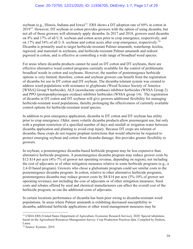soybean (e.g., Illinois, Indiana and Iowa)<sup>15</sup>. ERS shows a DT adoption rate of  $69\%$  in cotton in 2019<sup>15</sup>. However, DT soybean or cotton provides growers with the option of using dicamba, but not all of those growers will ultimately apply dicamba. In 2017 and 2018, growers used dicamba on 8% and 17% of all U.S. soybean and cotton acres prior to crop emergence, respectively, and on 17% and 34% of all U.S. soybean and cotton acres after crop emergence, respectively.<sup>16</sup> Dicamba is primarily used to target herbicide-resistant Palmer amaranth, waterhemp, kochia, ragweed, and marestail in soybeans, and herbicide-resistant Palmer amaranth and redroot pigweed in cotton, and is effective at controlling a wide range of broadleaf weed species.

For areas where dicamba products cannot be used on DT cotton and DT soybeans, there are effective alternative weed control programs currently available for the control of problematic broadleaf weeds in cotton and soybeans. However, the number of postemergence herbicide options is very limited; therefore, cotton and soybean growers can benefit from the registration of dicamba for use in DT cotton and DT soybean. The dicamba tolerant system was created to address weed populations with resistance to glyphosate (Weed Science Society of America [WSSA] Group 9 herbicide), ALS (acetolactate synthase) inhibitor herbicides (WSSA Group 2) and PPO (protoporphyrinogen oxidase) inhibitor herbicides (WSSA group 14). The registration of dicamba in DT cotton and DT soybean will give growers additional flexibility for managing herbicide-resistant weed populations, thereby prolonging the effectiveness of currently available control options for herbicide-resistant weed species.

In addition to post emergence application, dicamba in DT cotton and DT soybean has utility prior to crop emergence. Older, more volatile dicamba products allow preemergent use, but only with a preplant restriction of a specified number of days and rainfall or irrigation water between dicamba application and planting to avoid crop injury. Because DT crops are tolerant of dicamba, these crops do not require preplant restrictions that would otherwise be required to protect emerging soybean and cotton from dicamba damage; this provides greater flexibility to growers.

In soybean, a postemergence dicamba-based herbicide program may be less expensive than alternative herbicide programs. A postemergence dicamba program may reduce grower costs by \$12-\$14 per acre (4%-7% of grower net operating revenue, depending on region), not including the cost of adjuvants or of other mitigation measures relative to some herbicide programs (e.g., a 2,4-D based program). Growers who chose a glufosinate program could see similar costs to the postemergence dicamba program. In cotton, relative to other alternative herbicide programs, postemergence dicamba may reduce grower costs by \$8-\$14 per acre (5%-10% of grower net operating revenue), not including the cost of adjuvants or of other mitigation measures. Seed costs and rebates offered by seed and chemical manufacturers can affect the overall cost of the herbicide program, as can the additional costs of adjuvants.

In certain locations performance of dicamba has been poor owing to dicamba-resistant weed populations. In areas where Palmer amaranth is exhibiting decreased susceptibility to dicamba, additional herbicide applications or other weed management measures may be

<sup>&</sup>lt;sup>15</sup> USDA ERS (United States Department of Agriculture, Economic Research Service), 2020. Special tabulation, based on the Agricultural Resources Management Survey: Crop Production Practices data. Compiled by Dodson, Laura.

<sup>16</sup> Source: Kynetec, 2019.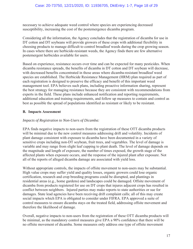necessary to achieve adequate weed control where species are experiencing decreased susceptibility, increasing the cost of the postemergence dicamba program.

Considering all the information, the Agency concludes that the registration of dicamba for use in DT cotton and DT soybeans will provide growers of these crops with additional flexibility in choosing products to manage difficult to control broadleaf weeds during the crop growing season. In cases where there are herbicide-resistant weeds, the Agency finds there are few alternative postemergent herbicides available for users.

Based on experience, resistance occurs over time and can be expected for many pesticides. When dicamba resistance spreads, the benefits of dicamba in DT cotton and DT soybean will decrease, with decreased benefits concentrated in those areas where dicamba-resistant broadleaf weed species are established. The Herbicide Resistance Management (HRM) plan required as part of each registration is designed to preserve the efficacy and benefit of this important weed management tool. EPA believes such plans, including proactive information sharing, represent the best strategy for managing resistance because they are consistent with recommendations from experts in the field. These plans include enhanced notification and reporting requirements, additional education and training requirements, and follow up measures to contain and control as best as possible the spread of populations identified as resistant or likely to be resistant.

#### **B. Impacts Assessment**

#### *Impacts of Registration to Non-Users of Dicamba:*

EPA finds negative impacts to non-users from the registration of these OTT dicamba products will be minimal due to the new control measures addressing drift and volatility. Incidents of plant damage consistent with exposure to dicamba have been documented in a variety of sensitive crops including non-DT soybean, fruit trees, and vegetables. The level of damage is variable and may range from slight leaf cupping to plant death. The level of damage depends on the magnitude and length of exposure, the number of times exposed, the growth stage of the affected plants when exposure occurs, and the response of the injured plant after exposure. Not all of the reports of alleged dicamba damage are associated with yield loss.

Without appropriate controls, the impacts of offsite movement to non-users may be substantial. High value crops may suffer yield and quality losses, organic growers could lose organic certification, research and crop breeding programs could be disrupted, and plantings in residential areas (e.g., home gardens) and landscapes could be damaged. Offsite movement of dicamba from products registered for use on DT crops that injures adjacent crops has resulted in conflict between neighbors. Injured parties may make reports to state authorities or sue for damages. State lead agencies have been receiving drift complaint calls; all of this may create social impacts which EPA is obligated to consider under FIFRA. EPA approved a suite of control measures to ensure dicamba stays on the treated field, addressing offsite movement and therefore the likelihood of damage.

Overall, negative impacts to non-users from the registration of these OTT dicamba products will be minimal, as the mandatory control measures give EPA a 90% confidence that there will be no offsite movement of dicamba. Some measures only address one type of offsite movement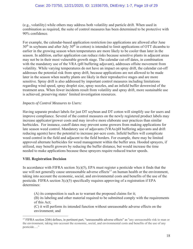(e.g*.*, volatility) while others may address both volatility and particle drift. When used in combination as required, the suite of control measures has been determined to be protective with 90% confidence.

For example, the calendar-based application restriction (no applications are allowed after June  $30<sup>th</sup>$  in soybeans and after July  $30<sup>th</sup>$  in cotton) is intended to limit applications of OTT dicamba to earlier in the growing season when temperatures are more likely to be cooler than later in the season. In addition, earlier application can reduce risks because sensitive plants in adjacent areas may not be in their most vulnerable growth stage. The calendar cut-off dates, in combination with the mandatory use of the VRA (pH buffering adjuvant), addresses offsite movement from volatility. While varying temperatures do not have an impact on spray drift, the calendar cut-off addresses the potential risk from spray drift, because applications are not allowed to be made later in the season when nearby plants are likely in their reproductive stages and are more sensitive. Spray drift is also addressed by important control measures including limitations regarding wind speed, spray droplet size, spray nozzles, and an infield buffer downwind of the treatment area. When fewer incidents result from volatility and spray drift, more sustainable use is achieved, preserving states' limited investigation resources.

#### *Impacts of Control Measures to Users:*

Having separate product labels for just DT soybean and DT cotton will simplify use for users and improve compliance. Several of the control measures on the newly registered product labels may increase applicator/grower costs and may involve more elaborate user practices than similar herbicides. For instance, cutoff dates may prevent some growers from making applications for late season weed control. Mandatory use of adjuvants (VRAs/pH buffering adjuvants and drift reducing agents) have the potential to increase per-acre costs. Infield buffers will complicate weed control in the field and adjacent to the field borders. For example, there may be limited approved alternate herbicides for weed management within the buffer area. Hooded sprayers, if utilized, may benefit growers by reducing the buffer distance, but would increase the time needed to make applications because these sprayers require reduced tractor speeds.

#### **VIII. Registration Decision**

In accordance with FIFRA section  $3(c)(5)$ , EPA must register a pesticide when it finds that the use will not generally cause unreasonable adverse effects<sup>17</sup> on human health or the environment, taking into account the economic, social, and environmental costs and benefits of the use of the pesticide. FIFRA section  $3(c)(5)$  specifically requires approving of a registration if EPA determines:

(A) its composition is such as to warrant the proposed claims for it;

(B) its labeling and other material required to be submitted comply with the requirements of this Act;

(C) it will perform its intended function without unreasonable adverse effects on the environment; and

<sup>&</sup>lt;sup>17</sup> FIFRA section 2(bb) defines, in pertinent part, "unreasonable adverse effects" as "any unreasonable risk to man or the environment, taking into account the economic, social, and environmental costs and benefits of the use of any pesticide…."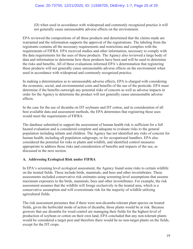(D) when used in accordance with widespread and commonly recognized practice it will not generally cause unreasonable adverse effects on the environment.

EPA reviewed the compositions of all three products and determined that the claims made are warranted and the information supports the approval of the registrations. The labeling from the registrants contains all the necessary requirements and restrictions and complies with the requirements of FIFRA. EPA received studies and other information, necessary to comply with the data requirements for the uses of these products. The Agency also reviewed a large body of data and information to determine how these products have been and will be used to determine the risks and benefits. All of these evaluations informed EPA's determination that registering these products will not generally cause unreasonable adverse effects on the environment when used in accordance with widespread and commonly recognized practice.

In making a determination as to unreasonable adverse effects, EPA is charged with considering the economic, social, and environmental costs and benefits of the use of the pesticide. EPA must determine if the benefits outweigh any potential risks of concern as well as adverse impacts in order for the Agency to determine the product will not generally cause unreasonable adverse effects.

In the case for the use of dicamba on DT soybeans and DT cotton, and in consideration of all best available data and assessment methods, the EPA determines that registering these uses would meet the requirements of FIFRA.

The database submitted to support the assessment of human health risk is sufficient for a full hazard evaluation and is considered complete and adequate to evaluate risks to the general population including infants and children. The Agency has not identified any risks of concern for human health, including all population subgroups, or for occupational handlers. EPA also considered the potential for risks to plants and wildlife, and identified control measures appropriate to address those risks and consideration of benefits and impacts of the use, as discussed in the next section.

#### **A. Addressing Ecological Risk under FIFRA**

In EPA's screening level ecological assessment, the Agency found some risks to certain wildlife on the treated fields. These include birds, mammals, and bees and other invertebrates. These assessments included conservative risk estimates using screening-level assumptions that assume maximum exposures to the birds, mammals, bees and other invertebrates. For example, the risk assessment assumes that the wildlife will forage exclusively in the treated area, which is a conservative assumption and will overestimate risk for the majority of wildlife utilizing agricultural fields.

The risk assessment presumes that if there were non-dicamba tolerant plant species on treated fields, given the herbicidal mode of action of dicamba, those plants would be at risk. Because growers that use dicamba for weed control are managing their fields for the highest level of production of soybean or cotton on their own land, EPA concluded that any non-tolerant plants would be considered a target pest and therefore there would be no non-target plants on the fields, except for the DT crops.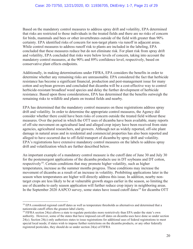Based on the mandatory control measures to address spray drift and volatility, EPA determined that risks are restricted to those individuals in the treated fields and there are no risks of concern for birds, mammals and bees or other invertebrates outside of the field with greater than 90% certainty. EPA identified risks of concern for non-target plants via runoff in adjacent areas. While control measures to address runoff risk to plants are included in the labeling, EPA concluded that these measures reduce but do not eliminate risk. For plant risk from spray drift and volatility, EPA concluded that risks were below levels of concern, taking into account the mandatory control measures, at the 90% and 89% confidence level, respectively, based on conservative plant effects endpoints.

Additionally, in making determinations under FIFRA, EPA considers the benefits in order to determine whether any remaining risks are unreasonable. EPA considered the fact that herbicide resistance has become a significant financial, production and pest-management issue for many cotton and soybean growers and concluded that dicamba will be a cost-effective way to control herbicide-resistant broadleaf weed species and delay the further development of herbicide resistance. Based upon those considerations, EPA has determined that the benefits outweigh the remaining risks to wildlife and plants on treated fields and nearby.

EPA has determined that the mandatory control measures on these registrations address spray drift and volatility. In order to determine the appropriate control measures, the Agency did consider whether there could have been risks of concern outside the treated field without these measures. Over the period in which the OTT uses of dicamba have been available, many reports of off-site movement on agricultural land and alleged crop injury have been received from state agencies, agricultural researchers, and growers. Although not as widely reported, off-site plant damage in natural areas and in residential and commercial properties has also been reported and alleged to have occurred due to off-field transport of dicamba by spray drift and volatility. EPA's registrations have extensive mandatory control measures on the labels to address spray drift and volatilization which are further described below.

An important example of a mandatory control measure is the cutoff date of June 30 and July 30 for the postemergent applications of the dicamba products use in DT soybeans and DT cotton, respectively<sup>18</sup>. Certain conditions that may promote higher volatility, such as higher temperatures, increase as the summer months progress. These conditions may increase the movement of dicamba as a result of an increase in volatility. Prohibiting applications later in the season when temperatures are higher will directly address this issue. In addition, nearby nontarget crops are less likely to be at vulnerable growth stages earlier in the season, so limiting the use of dicamba to early season application will further reduce crop injury in neighboring areas. In the September 2020 AAPCO survey, some states have issued cutoff dates<sup>19</sup> for dicamba OTT

<sup>&</sup>lt;sup>18</sup> EPA considered regional cutoff dates as well as temperature thresholds as alternatives and determined that a nationwide cutoff offers the greatest label clarity.

<sup>&</sup>lt;sup>19</sup> FIFRA section 24(a) allows a state to regulate pesticides more restrictively than EPA under the state's own authority. However, some of the states that have imposed cut-off dates on dicamba uses have done so under section 24(c). Section 24(c) only authorizes states to issue registrations for additional uses of federal registrations to meet special local needs; if states wish to impose further restrictions on the dicamba products, or any other federally registered pesticides, they should do so under section 24(a) of FIFRA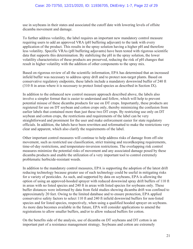use in soybeans in their states and associated the cutoff date with lowering levels of offsite dicamba movement and damage.

To further address volatility, the label requires an important new mandatory control measure requiring users to add an approved VRA (pH buffering adjuvant) to the tank with every application of the product. This results in the spray solution having a higher pH and therefore less volatility. Specific VRAs (pH buffering adjuvants) have been tested with rigorous scientific data that supports this determination. By stabilizing the pH in the spray solution, the lower volatility characteristics of these products are preserved, reducing the risk of pH changes that result in higher volatility with the addition of other components to the spray mix.

Based on rigorous review of all the scientific information, EPA has determined that an increased infield buffer was necessary to address spray drift and to protect non-target plants. Based on conservative regulatory endpoints, these labels include a mandatory downwind buffer of 240 ft (310 ft in areas where it is necessary to protect listed species as described in Section IX).

In addition to the enhanced new control measure approach described above, the labels also involve a simpler format that is easier to understand and follow, which will help to prevent potential misuse of these dicamba products for use on DT crops. Importantly, these products are registered for use on DT soybean and cotton crops only, thereby minimizing the confusion from earlier labels that contained more than just these two DT crops. By restricting use only on DT soybean and cotton crops, the restrictions and requirements of the label can be very straightforward and prominent for the user and make enforcement easier for state regulatory officials. In addition, the labels have been rewritten and reformatted to make the restrictions very clear and apparent, which also clarify the requirements of the label.

Other important control measures will continue to help address risks of damage from off-site movement, such as restricted use classification, strict training and recordkeeping requirements, time-of-day restrictions, and temperature-inversion restrictions. The overlapping risk control measures minimize the potential risks of movement and any associated damage posed by these dicamba products and enable the utilization of a very important tool to control extremely problematic herbicide-resistant weeds.

In addition to the mandatory control measures, EPA is supporting the adoption of the latest drift reducing technology because greater use of such technology could be useful in mitigating risks for a variety of pesticides. As such, and supported by data on soybeans, EPA is allowing the option of using an approved-hooded sprayer with reduced downwind spray drift buffers of 110 ft in areas with no listed species and 240 ft in areas with listed species for soybeans only. These buffer distances were informed by data from field studies showing dicamba drift was confined to approximately 20 feet. Owing to the limited database and to ensure protection, EPA applied conservative safety factors to select 110 ft and 240 ft infield downwind buffers for non-listed species and for listed species, respectively, when using a qualified hooded sprayer on soybeans. As more data becomes available in the future, EPA will consider applications to amend the registrations to allow smaller buffers, and/or to allow reduced buffers for cotton.

On the benefits side of the analysis, use of dicamba on DT soybeans and DT cotton is an important part of a resistance management strategy. Soybeans and cotton are extremely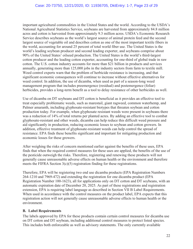important agricultural commodities in the United States and the world. According to the USDA's National Agricultural Statistics Service, soybeans are harvested from approximately 84.8 million acres and cotton is harvested from approximately 9.3 million acres. USDA's Economic Research Service describes soybeans as the world's largest source of animal protein feed and the second largest source of vegetable oil and describes cotton as one of the most important textile fibers in the world, accounting for around 25 percent of total world fiber use. The United States is the world's leading soybean producer and second leading exporter, and soybeans comprise about 90% of the United States' oilseed production. The United States is the world's third-largest cotton producer and the leading cotton exporter, accounting for one-third of global trade in raw cotton. The U.S. cotton industry accounts for more than \$21 billion in products and services annually, generating more than 125,000 jobs in the industry sectors from farm to textile mill. Weed control experts warn that the problem of herbicide resistance is increasing, and that significant economic consequences will continue to increase without effective alternatives for weed control. In addition, the use of dicamba, when used as part of a season-long weed management program that includes preemergence (residual) and postemergence (foliar) herbicides, provides a long-term benefit as a tool to delay resistance of other herbicides as well.

Use of dicamba on DT soybeans and DT cotton is beneficial as it provides an effective tool to treat especially problematic weeds, such as marestail, giant ragweed, common waterhemp, and Palmer amaranth, including glyphosate-resistant biotypes that threaten soybean and cotton production today. For example, when glyphosate resistant weeds were present in soybeans there was a reduction of 14% of total returns per planted acres. By adding an effective tool to combat glyphosate-resistant and other weeds, dicamba can help reduce this difficult weed pressure and aid significantly in production, reducing economic losses to soybean and cotton growers. In addition, effective treatment of glyphosate-resistant weeds can help control the spread of resistance. EPA finds these benefits significant and important for mitigating production and economic losses for these growers.

After weighing the risks of concern mentioned earlier against the benefits of these uses, EPA finds that when the required control measures for these uses are applied, the benefits of the use of the pesticide outweigh the risks. Therefore, registering and renewing these products will not generally cause unreasonable adverse effects on human health or the environment and therefore meets the FIFRA Section  $3(c)(5)$  registration finding for these registrations.

Therefore, EPA will be registering two end use dicamba products (EPA Registration Numbers 264-1210 and 7969-472) and extending the registration for one dicamba product (EPA Registration Number 100-1623), all for applications only on DT cotton and DT soybeans, with an automatic expiration date of December 20, 2025. As part of these registrations and registration extension, EPA is requiring label language as described in Section VII B Label Requirements. When used in accordance with the control measures on the product label, EPA expects that this registration action will not generally cause unreasonable adverse effects to human health or the environment.

#### **B. Label Requirements**

The labels approved by EPA for these products contain certain control measures for dicamba use on DT cotton and DT soybean, including additional control measures to protect listed species. This includes both enforceable as well as advisory statements. The only currently available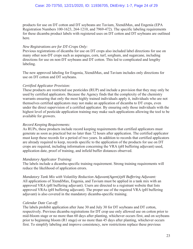#### Case: 20-73750, 12/21/2020, ID: 11936705, DktEntry: 1-7, Page 24 of 29

products for use on DT cotton and DT soybeans are Tavium, XtendiMax, and Engenia (EPA Registration Numbers 100-1623, 264-1210, and 7969-472). The specific labeling requirements for these dicamba product labels with registered uses on DT cotton and DT soybeans are outlined here.

#### *New Registrations are for DT-Crops Only:*

Previous registrations of dicamba for use on DT crops also included label directions for use on many other non-DT crops such as asparagus, corn, turf, sorghum, and sugarcane, including directions for use on non-DT soybeans and DT cotton. This led to complicated and lengthy labeling.

The new approved labeling for Engenia, XtendiMax, and Tavium includes only directions for use on DT cotton and DT soybeans.

#### *Certified Applicator Provision:*

These products are restricted use pesticides (RUP) and include a provision that they may only be used by certified applicators. Because the Agency finds that the complexity of the chemistry warrants ensuring that only the most highly trained individuals apply it, individuals who are not themselves certified applicators may not make an application of dicamba to DT crops, even under the direct supervision of a certified applicator. By ensuring only those individuals with the highest level of pesticide application training may make such applications allowing the tool to be available for growers.

#### *Record Keeping Requirements:*

As RUPs, these products include record keeping requirements that certified applicators must generate as soon as practical but no later than 72 hours after application. The certified applicator must keep these records for a period of two years. In addition to records that certified applicators are already required to keep, records specific to the application of the products for use on DT crops are required, including information concerning the VRA (pH buffering adjuvant) used, application date, proof of training, and infield buffer distances observed.

#### *Mandatory Applicator Training:*

The labels include a dicamba-specific training requirement. Strong training requirements will reduce the likelihood of application errors.

*Mandatory Tank Mix with Volatility Reduction Adjuvant(Agent)/pH Buffering Adjuvant:*  All applications of XtendiMax, Engenia, and Tavium must be applied in a tank mix with an approved VRA (pH buffering adjuvant). Users are directed to a registrant website that lists approved VRAs (pH buffering adjuvant). The proper use of the required VRA (pH buffering adjuvant) is also covered in the mandatory dicamba-specific training.

#### *Calendar Date Cut-off:*

The labels prohibit application after June 30 and July 30 for DT soybeans and DT cotton, respectively. Previous dicamba registrations for DT crop use only allowed use on cotton prior to mid-bloom stage or no more than 60 days after planting, whichever occurs first, and on soybeans prior to beginning bloom (R1 stage) or no more than 45 days after planting, whichever occurs first. To simplify labeling and improve consistency, new restrictions replace these previous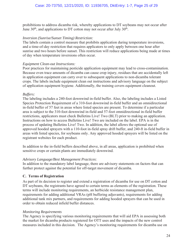prohibitions to address dicamba risk, whereby applications to DT soybeans may not occur after June  $30<sup>th</sup>$ , and applications to DT cotton may not occur after July  $30<sup>th</sup>$ .

#### *Inversion (Sunrise/Sunset Timing) Restriction:*

The labels contain a control measure that prohibits application during temperature inversions, and a time-of-day restriction that requires applicators to only apply between one hour after sunrise and two hours before sunset. This restriction will reduce applications being made at times of day when temperature inversions often occur.

#### *Equipment Clean-out Instructions:*

Poor practices for maintaining pesticide application equipment may lead to cross-contamination. Because even trace amounts of dicamba can cause crop injury, residues that are accidentally left in application equipment can carry over to subsequent applications to non-dicamba tolerant crops. The labels include equipment clean out instructions and advisory language on the subject of application equipment hygiene. Additionally, the training covers equipment cleanout.

#### *Buffers:*

The labeling includes a 240-foot downwind in-field buffer. Also, the labeling includes a Listed Species Protection Requirement of a 310-foot downwind in-field buffer and an omnidirectional in-field buffer of 57 feet in areas where listed species are present. To determine if a particular area is subject to the 310-foot downwind in-field and 57-foot omnidirectional in-field buffer restrictions, applicators must check Bulletins Live! Two (BLT) prior to making an application. Instructions on how to access Bulletins Live! Two are included on the label. EPA is in the process of updating Bulletins Live! Two. In addition, the label allows the optional use of approved hooded sprayers with a 110-foot in-field spray drift buffer, and 240-ft in-field buffer in areas with listed species, for soybeans only. Any approved hooded sprayers will be listed on the registrant websites for each product.

In addition to the in-field buffers described above, in all areas, application is prohibited when sensitive crops or certain plants are immediately downwind.

#### *Advisory Language/Best Management Practices*:

In addition to the mandatory label language, there are advisory statements on factors that can further protect against the potential for off-target movement of dicamba.

#### **C. Terms of Registration**

As part of its decision to register and extend a registration of dicamba for use on DT cotton and DT soybeans, the registrants have agreed to certain terms as elements of the registration. These terms will include monitoring requirements, an herbicide resistance management plan, requirements for adding additional VRAs (pH buffering adjuvants), requirements for adding additional tank mix partners, and requirements for adding hooded sprayers that can be used in order to obtain reduced infield buffer distances.

#### *Monitoring Requirements*

The Agency is specifying various monitoring requirements that will aid EPA in assessing both the market for dicamba products registered for OTT uses and the impacts of the new control measures included in this decision. The Agency's monitoring requirements for dicamba use on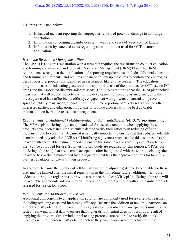DT crops are listed below:

- 1. Enhanced incident reporting that aggregates reports of potential damage to non-target vegetation.
- 2. Information concerning dicamba-resistant weeds and cases of weed control failure.
- 3. Information by state and acres regarding sales of product used for OTT dicamba applications.

#### *Herbicide Resistance Management Plan*

The EPA is issuing this registration with a term that requires the registrants to conduct education and training and maintain an Herbicide Resistance Management (HRM) Plan. The HRM requirements strengthen the notification and reporting requirements, include additional education and training requirements, and requires enhanced follow up measures to contain and control, as best as possible, populations identified as resistant or likely to be resistant. The education program focuses on educating growers on the appropriate use of the products for OTT use on DT crops and the associated dicamba-tolerant seeds. The EPA is requiring that the HRM plan include measures that will reduce the potential for the development of weed resistance, including the investigation of lack of herbicide efficacy, engagement with growers to control and prevent spread of "likely resistance", annual reporting to EPA, reporting of "likely resistance" to other interested parties, and educational programs to provide growers with the best available information on herbicide resistance management.

*Requirements for Additional Volatility-Reduction Adjuvants/Agents (pH Buffering Adjuvants)* The VRAs (pH buffering adjuvants) mandated for use as a tank mix when applying these products have been tested with scientific data to verify their efficacy in reducing off-site movement due to volatility. Because it is critically important to ensure that this reduced volatility is maintained, any additional VRA (pH buffering adjuvants) proposed for this use must also be proven with acceptable testing methods to ensure the same level of volatility-reduction before they can be approved for use. Strict testing protocols are required for this purpose. VRAs (pH buffering adjuvants) that are deemed acceptable after being tested with these protocols may then be added to a website maintained by the registrant that lists the approved options for tank mix partners available for use with their product.

In addition, because the number of VRAs (pH buffering adjuvants) deemed acceptable for these uses may be limited after the initial registration in the immediate future, additional terms are added requiring the registrants to provide assurance that these VRA/pH buffering adjuvants will be available in amounts sufficient to ensure availability for lawful use with all dicamba products released for use on DT crops.

#### *Requirements for Additional Tank Mixes*

Additional components to an application solution are commonly used for a variety of reasons, including reducing costs and increasing efficacy. Because the addition of tank mix partners can affect the drift potential of the resulting spray solution, potential tank mix partners must first be tested with wind tunnel data to ensure that higher drift potential does not occur as a result of applying the mixture. Strict wind tunnel testing protocols are required to verify that tank mixtures will not increase drift potential before they can be approved for actual field use.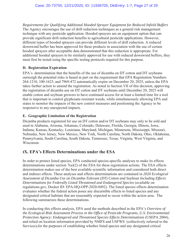*Requirements for Qualifying Additional Hooded Sprayer Equipment for Reduced Infield Buffers* The Agency encourages the use of drift reduction techniques as a general risk management technique with any pesticide application. Hooded sprayers are an equipment option that can provide significant drift reduction benefits to agricultural pesticide applications. However, different types of hooded sprayers can provide different levels of drift reduction. A reduced downwind buffer has been approved for these products in association with the use of certain hooded sprayers after acceptable data demonstrated that this reduction is appropriate. For additional hooded sprayers to be similarly approved for use with reduced downwind buffers, they must first be tested using the specific testing protocols required for this purpose.

#### **D. Registration Expiration**

EPA's determination that the benefits of the use of dicamba on DT cotton and DT soybeans outweigh the potential risks is based in part on the requirement that EPA Registration Numbers 264-1210, 100-1623, and 7969-472 automatically expire on December 20, 2025, unless the EPA takes further action to amend the registration. As noted in Section VII of this decision, approving the registration of dicamba use on DT cotton and DT soybeans until December 20, 2025 will enable cotton and soybean growers to have continued access for at least a limited time for a tool that is important to control glyphosate-resistant weeds, while simultaneously allowing EPA and states to monitor the impacts of the new control measures and positioning the Agency to be responsive to any unexpected impacts.

#### **E. Geographic Limitation of the Registration**

Dicamba products registered for use on DT cotton and/or DT soybeans may only to be sold and used in Alabama, Arizona, Arkansas, Colorado, Delaware, Florida, Georgia, Illinois, Iowa, Indiana, Kansas, Kentucky, Louisiana, Maryland, Michigan, Minnesota, Mississippi, Missouri, Nebraska, New Jersey, New Mexico, New York, North Carolina, North Dakota, Ohio, Oklahoma, Pennsylvania, South Carolina, South Dakota, Tennessee, Texas, Virginia, West Virginia, and Wisconsin.

#### **IX. EPA's Effects Determinations under the ESA**

In order to protect listed species, EPA conducted species-specific analyses to make its effects determinations under section 7(a)(2) of the ESA for these registration actions. The ESA effects determination makes use of the best available scientific information and considered both direct and indirect effects. These analyses and effects determinations are contained in *2020 Ecological Assessment of Dicamba Use on Dicamba-Tolerant (DT) Cotton and Soybean Including Effects Determinations for Federally Listed Threatened and Endangered Species* (available on regulations.gov, Docket ID: EPA-HQ-OPP-2020-0492). The listed species effects determination evaluates whether the federal action poses any discernible effects to listed species and any designated critical habitats that are reasonably expected to occur within the action area. The following summarizes these determinations.

In conducting this effects analysis, EPA used the methods described in the EPA's *Overview of the Ecological Risk Assessment Process in the Office of Pesticide Programs, U.S. Environmental Protection Agency: Endangered and Threatened Species Effects Determinations* (USEPA 2004), and relied on location information provided by NMFS and USFWS (collectively referred to the Services),for the purposes of establishing whether listed species and any designated critical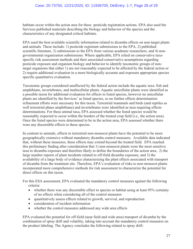habitats occur within the action area for these pesticide registration actions. EPA also used the Services published materials describing the biology and behavior of the species and the characteristics of any designated critical habitats.

EPA used the best available scientific information related to dicamba effects on non-target plants and animals. These include: 1) pesticide registrant submissions to the EPA, 2) published scientific literature, 3) submissions to the EPA from various academic researchers, and 4) nongovernmental organization submissions. Where applicable, EPA relied on conservative taxaspecific risk assessment methods and their associated conservative assumptions regarding pesticide exposure and organism biology and behavior to identify taxonomic groups of nontarget organisms that either 1) are not reasonably expected to be affected by the federal action or 2) require additional evaluation in a more biologically accurate and exposure appropriate species specific quantitative evaluation.

Taxonomic groups considered unaffected by the federal action include the aquatic taxa: fish and amphibians, invertebrates, and multicellular plants. Aquatic unicellular plants were identified as a possible taxon for additional evaluation for effects to listed species, however no unicellular plants are identified by the Services' as listed species, so no further effects determination refinement efforts were necessary for this taxon. Terrestrial mammals and birds (and reptiles as well terrestrial phase amphibians) and invertebrates were identified as taxa requiring effects determinations. For these animal taxa, EPA assessed whether the listed species would be reasonably expected to occur within the borders of the treated crop field (i.e., the action area). Once the listed species were determined to be in the action area, EPA assessed whether there were any discernible effects to these species.

In contrast to animals, effects to terrestrial non-monocot plants have the potential to be more geographically extensive without mandatory dicamba control measures. Available data indicated that, without these measures, these effects may extend beyond the treated field. EPA reached this preliminary finding after consideration that 1) non-monocot plants were the most sensitive taxa to dicamba exposure and therefore likely to define the boundaries of the action area, 2) the large number reports of plant incidents related to off-field dicamba exposure, and 3) the availability of a large body of evidence characterizing the plant effects associated with transport of dicamba from the treatment site. Therefore, EPA's evaluation of risks to non-monocot plants incorporated more comprehensive methods for risk assessment to characterize the potential for direct effects on this taxon.

For this ESA assessment, EPA evaluated the mandatory control measures against the following criteria:

- whether there was any discernible effect to species or habitat using at least 95% certainty of no effects when considering all of the control measures
- quantitatively assess effects related to growth, survival, and reproduction
- consideration of incident information
- whether the control measures addressed any wide area effects

EPA evaluated the potential for off-field (near field and wide area) transport of dicamba by the combination of spray drift and volatility, taking into account the mandatory control measures on the product labeling. The Agency concludes the following related to spray drift: